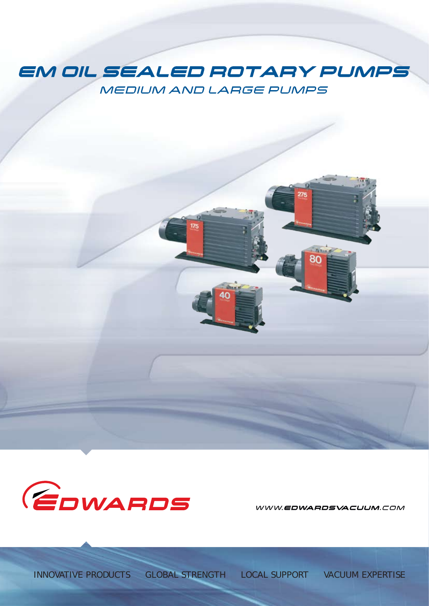# EM OIL SEALED ROTARY PUMPS MEDIUM AND LARGE PUMPS



WWW.EDWARDSVACUUM.COM

275

30

*INNOVATIVE PRODUCTS GLOBAL STRENGTH LOCAL SUPPORT VACUUM EXPERTISE*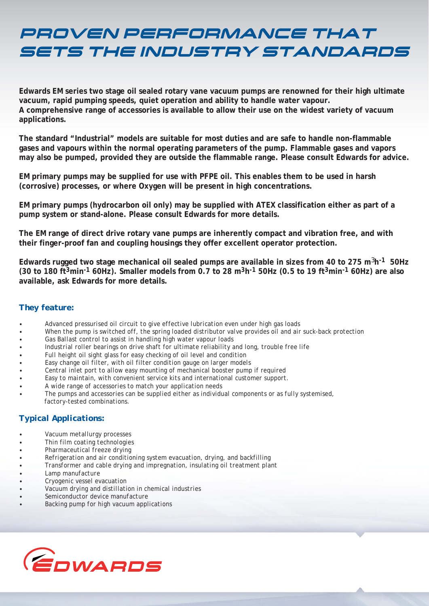# PROVEN PERFORMANCE THAT SETS THE INDUSTRY STANDARDS

**Edwards EM series two stage oil sealed rotary vane vacuum pumps are renowned for their high ultimate vacuum, rapid pumping speeds, quiet operation and ability to handle water vapour. A comprehensive range of accessories is available to allow their use on the widest variety of vacuum applications.**

**The standard "Industrial" models are suitable for most duties and are safe to handle non-flammable gases and vapours within the normal operating parameters of the pump. Flammable gases and vapors may also be pumped, provided they are outside the flammable range. Please consult Edwards for advice.**

**EM primary pumps may be supplied for use with PFPE oil. This enables them to be used in harsh (corrosive) processes, or where Oxygen will be present in high concentrations.**

**EM primary pumps (hydrocarbon oil only) may be supplied with ATEX classification either as part of a pump system or stand-alone. Please consult Edwards for more details.**

**The EM range of direct drive rotary vane pumps are inherently compact and vibration free, and with their finger-proof fan and coupling housings they offer excellent operator protection.**

**Edwards rugged two stage mechanical oil sealed pumps are available in sizes from 40 to 275 m**3**h-1 50Hz (30 to 180 ft3min-1 60Hz). Smaller models from 0.7 to 28 m3h-1 50Hz (0.5 to 19 ft3min-1 60Hz) are also available, ask Edwards for more details.**

#### *They feature:*

- *• Advanced pressurised oil circuit to give effective lubrication even under high gas loads*
- *• When the pump is switched off, the spring loaded distributor valve provides oil and air suck-back protection*
- *• Gas Ballast control to assist in handling high water vapour loads*
- *• Industrial roller bearings on drive shaft for ultimate reliability and long, trouble free life*
- *• Full height oil sight glass for easy checking of oil level and condition*
- *• Easy change oil filter, with oil filter condition gauge on larger models*
- *• Central inlet port to allow easy mounting of mechanical booster pump if required*
- *• Easy to maintain, with convenient service kits and international customer support.*
- *• A wide range of accessories to match your application needs*
- *• The pumps and accessories can be supplied either as individual components or as fully systemised, factory-tested combinations.*

### *Typical Applications:*

- *• Vacuum metallurgy processes*
- *• Thin film coating technologies*
- *• Pharmaceutical freeze drying*
- *• Refrigeration and air conditioning system evacuation, drying, and backfilling*
- *• Transformer and cable drying and impregnation, insulating oil treatment plant*
- *• Lamp manufacture*
- *• Cryogenic vessel evacuation*
- *• Vacuum drying and distillation in chemical industries*
- *• Semiconductor device manufacture*
- *• Backing pump for high vacuum applications*

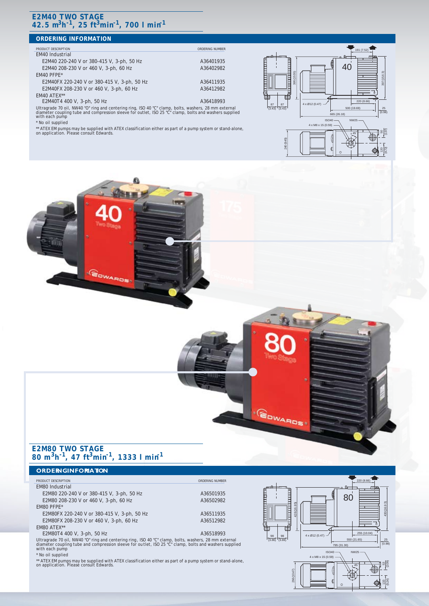#### **E2M40 TWO STAGE 42.5 m3h-1, 25 ft3min-1, 700 l min-1**

#### **ORDERING INFORMATION PRODUCT DESCRIPTION ORDERING NUMBER** EM40 Industrial E2M40 220-240 V or 380-415 V, 3-ph, 50 Hz A36401935 E2M40 208-230 V or 460 V, 3-ph, 60 Hz A36402982 EM40 PFPE\* E2M40FX 220-240 V or 380-415 V, 3-ph, 50 Hz A36411935 E2M40FX 208-230 V or 460 V, 3-ph, 60 Hz A36412982 EM40 ATEX\*\* E2M40T4 400 V, 3-ph, 50 Hz Ultragrade 70 oil, NW40 "O" ring and centering ring, ISO 40 "C" clamp, bolts, washers, 28 mm external diameter coupling tube and compression sleeve for outlet, ISO 25 "C" clamp, bolts and washers supplied with each pump \* No oil supplied  $ISO40 -$ (3.43)87 87 (3.43) 4 x Ø12 (0.47) 395 (15.55) 220 (8.66) n (19.69 665 (26.18) NW25 191 (7.52) 40

\*\* ATEX EM pumps may be supplied with ATEX classification either as part of a pump system or stand-alone, on application. Please consult Edwards.







#### **E2M80 TWO STAGE 80 m3h-1, 47 ft3min-1, 1333 l min-1**

#### **ORDERINGINFORMATION**

#### **PRODUCT DESCRIPTION ORDERING NUMBER ORDERING NUMBER**

EM80 Industrial E2M80 220-240 V or 380-415 V, 3-ph, 50 Hz A36501935 E2M80 208-230 V or 460 V, 3-ph, 60 Hz A36502982 EM80 PFPE\*

E2M80FX 220-240 V or 380-415 V, 3-ph, 50 Hz A36511935 E2M80FX 208-230 V or 460 V, 3-ph, 60 Hz A36512982

EM80 ATEX\*\*<br>E2M80T4 400 V, 3-ph, 50 Hz E2M80T4 400 V, 3-ph, 50 Hz A36518993

Ultragrade 70 oil, NW40 "O" ring and centering ring, ISO 40 "C" clamp, bolts, washers, 28 mm external diameter coupling tube and compression sleeve for ou tlet, ISO 25 "C" clamp, bolts and washers supplied with each pump \* No oil supplied

\*\* ATEX EM pumps may be supplied with ATEX classification either as part of a pump system or stand-alone, on application. Please consult Edwards.

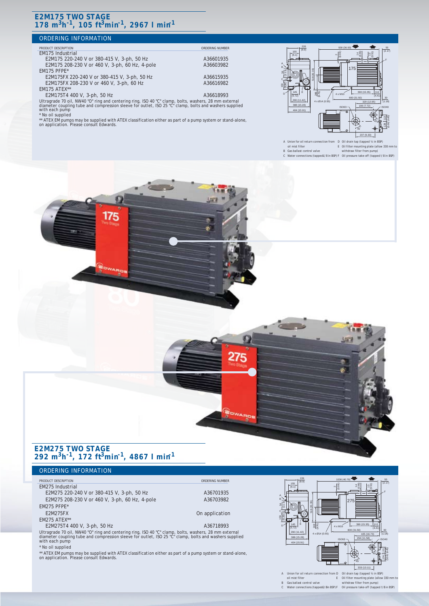#### **E2M175 TWO STAGE 178 m3h-1, 105 ft3min-1, 2967 l min-1**

#### ORDERING INFORMATION

#### PRODUCT DESCRIPTION<br>EM175 Industrial

E2M175 220-240 V or 380-415 V, 3-ph, 50 Hz<br>E2M175 208-230 V or 460 V, 3-ph, 60 Hz, 4-pole 436603982 E2M175 208-230 V or 460 V, 3-ph, 60 Hz, 4-pole EM175 PFPE\*

E2M175FX 220-240 V or 380-415 V, 3-ph, 50 Hz<br>E2M175FX 208-230 V or 460 V, 3-ph, 60 Hz <br>A36616982 E2M175FX 208-230 V or 460 V, 3-ph, 60 Hz EM175 ATEX\*\*

E2M175T4 400 V, 3-ph, 50 Hz A36618993 Ultragrade 70 oil, NW40 "O" ring and centering ring, ISO 40 "C" clamp, bolts, washers, 28 mm external diameter coupling tube and compression sleeve for outlet, ISO 25 "C" clamp, bolts and washers supplied with each pump

\* No oil supplied

\*\* ATEX EM pumps may be supplied with ATEX classification either as part of a pump system or stand-alone, on application. Please consult Edwards.

Ω



A Union for oil return oil mist filter D Oil drain tap (tapped x in BSP) of the BSP in BSP (tapped in BSP) in BSP in BSP in BSP) in BSP in BSP in BSP in BSP in BSP in BSP in BSP in BSP in BSP in BSP in BSP in BSP in BSP in BSP in BSP in BSP in BSP in BSP in BSP en<br>The plate (allow 330

#### B Gas ballast control valve C Water connections (tapped£/8 in BSP) withdraw filter from pump) F Oil pressure take-off (tapped!/8 in BSP)

#### **E2M275 TWO STAGE 292 m3h-1, 172 ft3min-1, 4867 l min-1**

#### ORDERING INFORMATION

#### **PRODUCT DESCRIPTION ORDERING NUMBER**

EM275 Industrial E2M275 220-240 V or 380-415 V, 3-ph, 50 Hz<br>E2M275 208-230 V or 460 V, 3-ph, 60 Hz, 4-pole 436703982 E2M275 208-230 V or 460 V, 3-ph, 60 Hz, 4-pole

EM275 PFPE\*

EM275 ATEX\*

#### E2M275T4 400 V, 3-ph, 50 Hz A36718993

Ultragrade 70 oil, NW40 "O" ring and centering ring, ISO 40 "C" clamp, bolts, washers, 28 mm external diameter coupling tube and compression sleeve for outlet, ISO 25 "C" clamp, bolts and washers supplied with each pump

\* No oil supplied

\*\* ATEX EM pumps may be supplied with ATEX classification either as part of a pump system or stand-alone, on application. Please consult Edwards.



B Gas ballast control valve C Water connections (tapped£/8in BSP) withdraw filter from pump) F Oil pressure take-off (tapped !/8in BSP) E Oil filter mounting plate (a

27

E2M275FX On application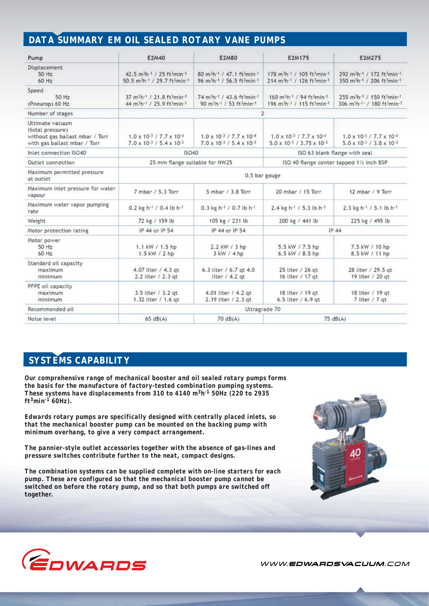# *DATA SUMMARY EM OIL SEALED ROTARY VANE PUMPS*

| Pump                                                                                                   | E2M40                                                                                                                                                    | <b>E2M80</b>                                                                                                                                           | <b>E2M175</b>                                                                                                                                | <b>E2M275</b>                                                                                                                                             |
|--------------------------------------------------------------------------------------------------------|----------------------------------------------------------------------------------------------------------------------------------------------------------|--------------------------------------------------------------------------------------------------------------------------------------------------------|----------------------------------------------------------------------------------------------------------------------------------------------|-----------------------------------------------------------------------------------------------------------------------------------------------------------|
| Displacement<br>50 Hz<br>60 Hz                                                                         | 42.5 m <sup>3</sup> h-1 / 25 ft <sup>3</sup> min-1<br>50.5 m <sup>3</sup> h <sup>-1</sup> / 29.7 ft <sup>3</sup> min <sup>-1</sup>                       | 80 m <sup>3</sup> h <sup>-1</sup> / 47.1 ft <sup>3</sup> min <sup>-1</sup><br>96 m <sup>3h-1</sup> / 56.5 ft3min-1                                     | 178 m <sup>3</sup> h <sup>-1</sup> / 105 ft <sup>3</sup> min <sup>-1</sup><br>214 m <sup>3</sup> h <sup>-1</sup> / 126 ft <sup>3</sup> min-1 | 292 m <sup>3</sup> h <sup>-1</sup> / 172 ft <sup>3</sup> min <sup>-1</sup><br>350 m <sup>3</sup> h <sup>-1</sup> / 206 ft <sup>3</sup> min-1              |
| Speed<br>50 Hz<br>(Pneurop) 60 Hz                                                                      | 37 m <sup>3</sup> h <sup>-1</sup> / 21.8 ft <sup>3</sup> min <sup>-1</sup><br>44 m <sup>3</sup> h <sup>-1</sup> / 25.9 ft <sup>3</sup> min <sup>-1</sup> | 74 m <sup>3</sup> h <sup>-1</sup> / 43.6 ft <sup>3</sup> min <sup>-1</sup><br>90 m <sup>3</sup> h <sup>-1</sup> / 53 ft <sup>3</sup> min <sup>-1</sup> | 160 m <sup>3</sup> h <sup>-1</sup> / 94 ft <sup>3</sup> min <sup>-1</sup><br>196 m <sup>3h-1</sup> / 115 ft3min-1                            | 255 m <sup>3</sup> h <sup>-1</sup> / 150 ft <sup>3</sup> min <sup>-1</sup><br>306 m <sup>3</sup> h <sup>-1-</sup> / 180 ft <sup>3</sup> min <sup>-1</sup> |
| Number of stages                                                                                       | 2                                                                                                                                                        |                                                                                                                                                        |                                                                                                                                              |                                                                                                                                                           |
| Ultimate vacuum<br>(total pressure)<br>without gas ballast mbar / Torr<br>with gas ballast mbar / Torr | $1.0 \times 10^{-3}$ / $7.7 \times 10^{-4}$<br>$7.0 \times 10^{-3}$ / 5.4 $\times$ 10 <sup>-3</sup>                                                      | $1.0 \times 10^{-3}$ / $7.7 \times 10^{-4}$<br>$7.0 \times 10^{-3}$ / $5.4 \times 10^{-3}$                                                             | $1.0 \times 10^{-3}$ / $7.7 \times 10^{-4}$<br>$5.0 \times 10^{-3}$ / 3.75 $\times 10^{-3}$                                                  | $1.0 \times 10^{-3}$ / $7.7 \times 10^{-4}$<br>$5.0 \times 10^{-3}$ / $3.8 \times 10^{-3}$                                                                |
| Inlet connection ISO40                                                                                 | <b>ISO40</b>                                                                                                                                             |                                                                                                                                                        | ISO 63 blank flange with seal                                                                                                                |                                                                                                                                                           |
| Outlet connection                                                                                      | 25 mm flange suitable for NW25                                                                                                                           |                                                                                                                                                        | ISO 40 flange center tapped 11/2 inch BSP                                                                                                    |                                                                                                                                                           |
| Maximum permitted pressure<br>at outlet                                                                | 0.5 bar gauge                                                                                                                                            |                                                                                                                                                        |                                                                                                                                              |                                                                                                                                                           |
| Maximum inlet pressure for water<br>vapour                                                             | 7 mbar / 5.3 Torr                                                                                                                                        | 5 mbar / 3.8 Torr                                                                                                                                      | 20 mbar / 15 Torr                                                                                                                            | 12 mbar / 9 Torr                                                                                                                                          |
| Maximum water vapor pumping<br>rate                                                                    | 0.2 kg h <sup>-1</sup> / 0.4 lb h <sup>-1</sup>                                                                                                          | 0.3 kg h <sup>-1</sup> / 0.7 lb h <sup>-1</sup>                                                                                                        | 2.4 kg h <sup>-1</sup> / 5.3 lb h <sup>-1</sup>                                                                                              | 2.3 kg h <sup>-1</sup> / 5.1 lb h <sup>-1</sup>                                                                                                           |
| Weight                                                                                                 | 72 kg / 159 lb                                                                                                                                           | 105 kg / 231 lb                                                                                                                                        | 200 kg / 441 lb                                                                                                                              | 225 kg / 495 lb                                                                                                                                           |
| Motor protection rating                                                                                | IP 44 or IP 54                                                                                                                                           | IP 44 or IP 54                                                                                                                                         | IP.44                                                                                                                                        |                                                                                                                                                           |
| Motor power<br>50 Hz<br>60 Hz                                                                          | 1.1 kW / 1.5 hp<br>1.5 kW / 2 hp                                                                                                                         | 2.2 kW / 3 hp<br>3 kW / 4 hp                                                                                                                           | 5.5 kW / 7.5 hp<br>6.5 kW / 8.5 hp                                                                                                           | 7.5 kW / 10 hp<br>8.5 kW / 11 hp                                                                                                                          |
| Standard oil capacity<br>maximum<br>minimum                                                            | 4.07 liter / 4.3 gt<br>2.2 liter / 2.3 gt                                                                                                                | 6.3 liter / 6.7 gt 4.0<br>liter $/ 4.2$ at                                                                                                             | 25 liter / 26 gt<br>16 liter / 17 gt                                                                                                         | 28 liter / 29.5 gt<br>19 liter / 20 gt                                                                                                                    |
| PFPE oil capacity<br>maximum<br>minimum                                                                | 3.5 liter / 3.2 gt<br>1.32 liter / 1.6 gt                                                                                                                | 4.01 liter / 4.2 gt<br>2.19 liter / 2.3 gt                                                                                                             | 18 liter / 19 gt<br>6.5 liter / 6.9 gt                                                                                                       | 18 liter / 19 gt<br>7 liter / 7 gt                                                                                                                        |
| Recommended oil                                                                                        | Ultragrade 70                                                                                                                                            |                                                                                                                                                        |                                                                                                                                              |                                                                                                                                                           |
| Noise level                                                                                            | 65 dB(A)                                                                                                                                                 | 70 dB(A)                                                                                                                                               | 75 dB(A)                                                                                                                                     |                                                                                                                                                           |

## *SYSTEMS CAPABILITY*

*Our comprehensive range of mechanical booster and oil sealed rotary pumps forms the basis for the manufacture of factory-tested combination pumping systems. These systems have displacements from 310 to 4140 m3h-1 50Hz (220 to 2935 ft3min-1 60Hz).*

*Edwards rotary pumps are specifically designed with centrally placed inlets, so that the mechanical booster pump can be mounted on the backing pump with minimum overhang, to give a very compact arrangement.*

*The pannier-style outlet accessories together with the absence of gas-lines and pressure switches contribute further to the neat, compact designs.*

*The combination systems can be supplied complete with on-line starters for each pump. These are configured so that the mechanical booster pump cannot be switched on before the rotary pump, and so that both pumps are switched off together.*





WWW.EDWARDSVACUUM.COM